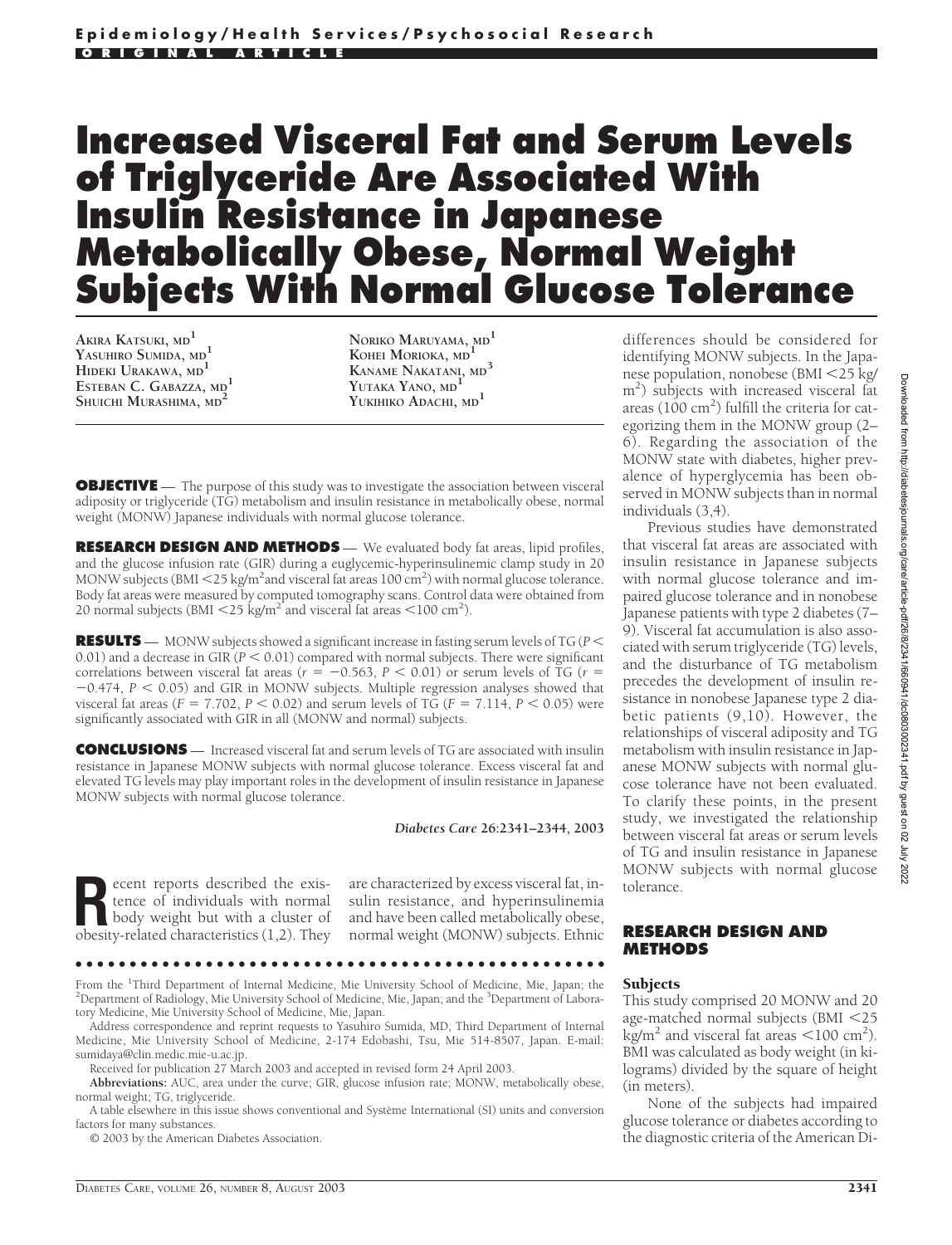# **Increased Visceral Fat and Serum Levels of Triglyceride Are Associated With Insulin Resistance in Japanese Metabolically Obese, Normal Weight Subjects With Normal Glucose Tolerance**

**AKIRA KATSUKI, MD<sup>1</sup> YASUHIRO SUMIDA, MD<sup>1</sup> HIDEKI URAKAWA, MD<sup>1</sup> ESTEBAN C. GABAZZA, MD<sup>1</sup> SHUICHI MURASHIMA, MD<sup>2</sup>**

**NORIKO MARUYAMA, MD<sup>1</sup> KOHEI MORIOKA, MD<sup>1</sup> KANAME NAKATANI, MD<sup>3</sup> YUTAKA YANO, MD<sup>1</sup> YUKIHIKO ADACHI, MD<sup>1</sup>**

**OBJECTIVE** — The purpose of this study was to investigate the association between visceral adiposity or triglyceride (TG) metabolism and insulin resistance in metabolically obese, normal weight (MONW) Japanese individuals with normal glucose tolerance.

**RESEARCH DESIGN AND METHODS** — We evaluated body fat areas, lipid profiles, and the glucose infusion rate (GIR) during a euglycemic-hyperinsulinemic clamp study in 20 MONW subjects (BMI <25 kg/m<sup>2</sup>and visceral fat areas 100 cm<sup>2</sup>) with normal glucose tolerance. Body fat areas were measured by computed tomography scans. Control data were obtained from 20 normal subjects (BMI  $\langle 25 \text{ kg/m}^2 \rangle$  and visceral fat areas  $\langle 100 \text{ cm}^2 \rangle$ .

**RESULTS** — MONW subjects showed a significant increase in fasting serum levels of TG (*P* 0.01) and a decrease in GIR ( $P < 0.01$ ) compared with normal subjects. There were significant correlations between visceral fat areas ( $r = -0.563$ ,  $P < 0.01$ ) or serum levels of TG ( $r =$  $-0.474$ ,  $P < 0.05$ ) and GIR in MONW subjects. Multiple regression analyses showed that visceral fat areas ( $F = 7.702$ ,  $P < 0.02$ ) and serum levels of TG ( $F = 7.114$ ,  $P < 0.05$ ) were significantly associated with GIR in all (MONW and normal) subjects.

**CONCLUSIONS** — Increased visceral fat and serum levels of TG are associated with insulin resistance in Japanese MONW subjects with normal glucose tolerance. Excess visceral fat and elevated TG levels may play important roles in the development of insulin resistance in Japanese MONW subjects with normal glucose tolerance.

#### *Diabetes Care* **26:2341–2344, 2003**

**Recent reports described the existence of individuals with normal body weight but with a cluster of obesity-related characteristics (1 2) They** tence of individuals with normal obesity-related characteristics (1,2). They

are characterized by excess visceral fat, insulin resistance, and hyperinsulinemia and have been called metabolically obese, normal weight (MONW) subjects. Ethnic

●●●●●●●●●●●●●●●●●●●●●●●●●●●●●●●●●●●●●●●●●●●●●●●●●

From the <sup>1</sup>Third Department of Internal Medicine, Mie University School of Medicine, Mie, Japan; the <sup>2</sup>Department of Padiology, Mie University School of Medicine, Mie Japan; and the <sup>3</sup>Department of Labora. Department of Radiology, Mie University School of Medicine, Mie, Japan; and the <sup>3</sup>Department of Laboratory Medicine, Mie University School of Medicine, Mie, Japan.

Address correspondence and reprint requests to Yasuhiro Sumida, MD, Third Department of Internal Medicine, Mie University School of Medicine, 2-174 Edobashi, Tsu, Mie 514-8507, Japan. E-mail: sumidaya@clin.medic.mie-u.ac.jp.

Received for publication 27 March 2003 and accepted in revised form 24 April 2003.

**Abbreviations:** AUC, area under the curve; GIR, glucose infusion rate; MONW, metabolically obese, normal weight; TG, triglyceride.

A table elsewhere in this issue shows conventional and Système International (SI) units and conversion factors for many substances.

© 2003 by the American Diabetes Association.

differences should be considered for identifying MONW subjects. In the Japanese population, nonobese (BMI 25 kg/ m2 ) subjects with increased visceral fat areas  $(100 \text{ cm}^2)$  fulfill the criteria for categorizing them in the MONW group (2– 6). Regarding the association of the MONW state with diabetes, higher prevalence of hyperglycemia has been observed in MONW subjects than in normal individuals (3,4).

Previous studies have demonstrated that visceral fat areas are associated with insulin resistance in Japanese subjects with normal glucose tolerance and impaired glucose tolerance and in nonobese Japanese patients with type 2 diabetes (7– 9). Visceral fat accumulation is also associated with serum triglyceride (TG) levels, and the disturbance of TG metabolism precedes the development of insulin resistance in nonobese Japanese type 2 diabetic patients (9,10). However, the relationships of visceral adiposity and TG metabolism with insulin resistance in Japanese MONW subjects with normal glucose tolerance have not been evaluated. To clarify these points, in the present study, we investigated the relationship between visceral fat areas or serum levels of TG and insulin resistance in Japanese MONW subjects with normal glucose tolerance.

## **RESEARCH DESIGN AND METHODS**

#### **Subjects**

This study comprised 20 MONW and 20 age-matched normal subjects (BMI 25  $\text{kg/m}^2$  and visceral fat areas  $\textless 100 cm}^2$ ). BMI was calculated as body weight (in kilograms) divided by the square of height (in meters).

None of the subjects had impaired glucose tolerance or diabetes according to the diagnostic criteria of the American Di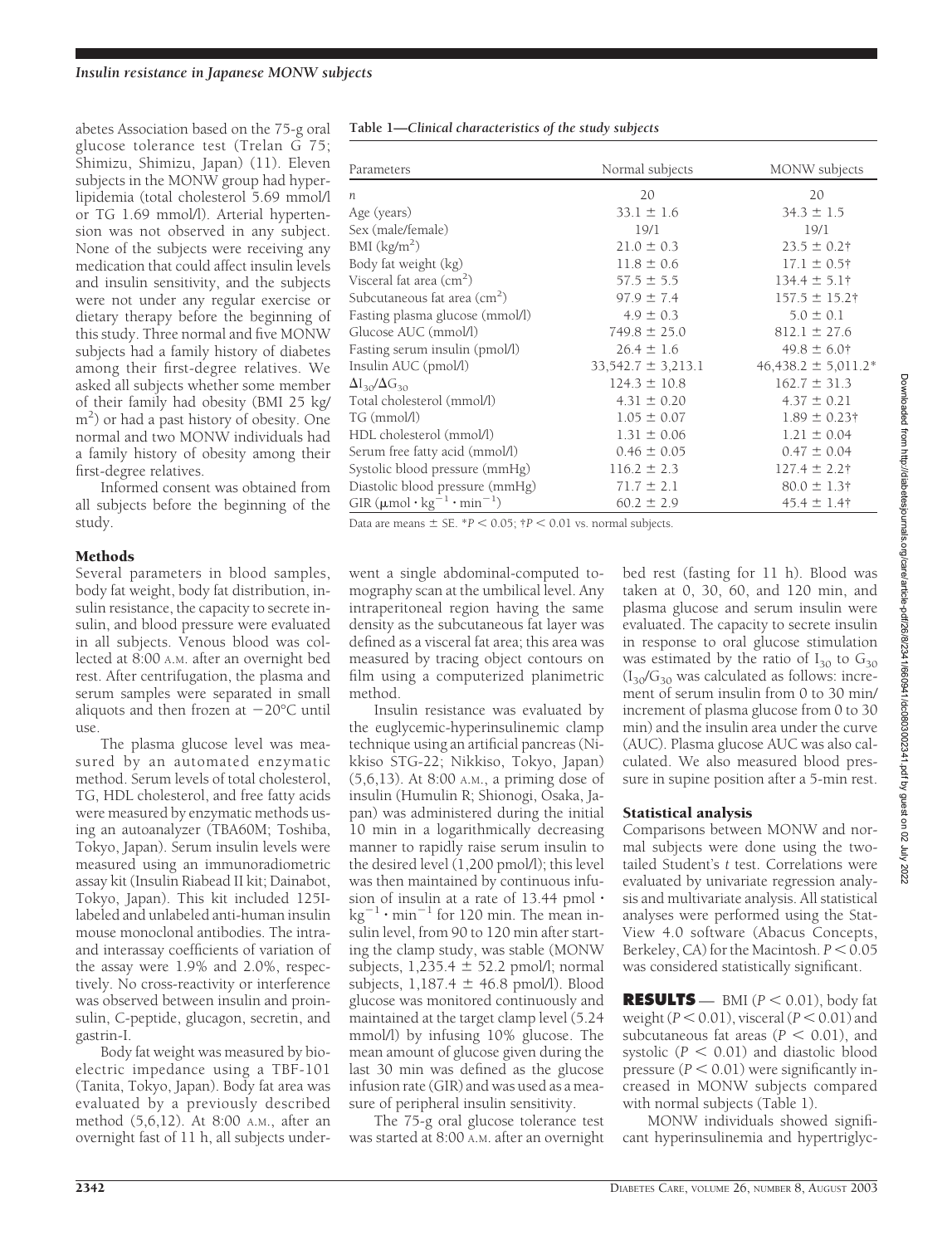abetes Association based on the 75-g oral glucose tolerance test (Trelan G 75; Shimizu, Shimizu, Japan) (11). Eleven subjects in the MONW group had hyperlipidemia (total cholesterol 5.69 mmol/l or TG 1.69 mmol/l). Arterial hypertension was not observed in any subject. None of the subjects were receiving any medication that could affect insulin levels and insulin sensitivity, and the subjects were not under any regular exercise or dietary therapy before the beginning of this study. Three normal and five MONW subjects had a family history of diabetes among their first-degree relatives. We asked all subjects whether some member of their family had obesity (BMI 25 kg/ m<sup>2</sup>) or had a past history of obesity. One normal and two MONW individuals had a family history of obesity among their first-degree relatives.

Informed consent was obtained from all subjects before the beginning of the study.

## **Methods**

Several parameters in blood samples, body fat weight, body fat distribution, insulin resistance, the capacity to secrete insulin, and blood pressure were evaluated in all subjects. Venous blood was collected at 8:00 A.M. after an overnight bed rest. After centrifugation, the plasma and serum samples were separated in small aliquots and then frozen at  $-20^{\circ}$ C until 11<sub>Se</sub>

The plasma glucose level was measured by an automated enzymatic method. Serum levels of total cholesterol, TG, HDL cholesterol, and free fatty acids were measured by enzymatic methods using an autoanalyzer (TBA60M; Toshiba, Tokyo, Japan). Serum insulin levels were measured using an immunoradiometric assay kit (Insulin Riabead II kit; Dainabot, Tokyo, Japan). This kit included 125Ilabeled and unlabeled anti-human insulin mouse monoclonal antibodies. The intraand interassay coefficients of variation of the assay were 1.9% and 2.0%, respectively. No cross-reactivity or interference was observed between insulin and proinsulin, C-peptide, glucagon, secretin, and gastrin-I.

Body fat weight was measured by bioelectric impedance using a TBF-101 (Tanita, Tokyo, Japan). Body fat area was evaluated by a previously described method (5,6,12). At 8:00 A.M., after an overnight fast of 11 h, all subjects under-

| Table 1—Clinical characteristics of the study subjects |                 |  |
|--------------------------------------------------------|-----------------|--|
|                                                        |                 |  |
| Parameters                                             | Normal subjects |  |

| Parameters                                                                                                                                                         | Normal subjects        | MONW subjects           |  |
|--------------------------------------------------------------------------------------------------------------------------------------------------------------------|------------------------|-------------------------|--|
| n                                                                                                                                                                  | 20                     | 20                      |  |
| Age (years)                                                                                                                                                        | $33.1 \pm 1.6$         | $34.3 \pm 1.5$          |  |
| Sex (male/female)                                                                                                                                                  | 19/1                   | 19/1                    |  |
| BMI $(kg/m^2)$                                                                                                                                                     | $21.0 \pm 0.3$         | $23.5 \pm 0.2$ †        |  |
| Body fat weight (kg)                                                                                                                                               | $11.8 \pm 0.6$         | $17.1 \pm 0.5$ †        |  |
| Visceral fat area (cm <sup>2</sup> )                                                                                                                               | $57.5 \pm 5.5$         | $134.4 \pm 5.1$ †       |  |
| Subcutaneous fat area (cm <sup>2</sup> )                                                                                                                           | $97.9 \pm 7.4$         | $157.5 \pm 15.2$ †      |  |
| Fasting plasma glucose (mmol/l)                                                                                                                                    | $4.9 \pm 0.3$          | $5.0 \pm 0.1$           |  |
| Glucose AUC (mmol/l)                                                                                                                                               | $749.8 \pm 25.0$       | $812.1 \pm 27.6$        |  |
| Fasting serum insulin (pmol/l)                                                                                                                                     | $26.4 \pm 1.6$         | $49.8 \pm 6.0$ †        |  |
| Insulin AUC (pmol/l)                                                                                                                                               | $33,542.7 \pm 3,213.1$ | $46,438.2 \pm 5,011.2*$ |  |
| $\Delta I_{30}/\Delta G_{30}$                                                                                                                                      | $124.3 \pm 10.8$       | $162.7 \pm 31.3$        |  |
| Total cholesterol (mmol/l)                                                                                                                                         | $4.31 \pm 0.20$        | $4.37 \pm 0.21$         |  |
| TG (mmol/l)                                                                                                                                                        | $1.05 \pm 0.07$        | $1.89 \pm 0.23$ †       |  |
| HDL cholesterol (mmol/l)                                                                                                                                           | $1.31 \pm 0.06$        | $1.21 \pm 0.04$         |  |
| Serum free fatty acid (mmol/l)                                                                                                                                     | $0.46 \pm 0.05$        | $0.47 \pm 0.04$         |  |
| Systolic blood pressure (mmHg)                                                                                                                                     | $116.2 \pm 2.3$        | $127.4 \pm 2.2$ †       |  |
| Diastolic blood pressure (mmHg)                                                                                                                                    | $71.7 \pm 2.1$         | $80.0 \pm 1.3$ †        |  |
| GIR $(\mu$ mol·kg <sup>-1</sup> ·min <sup>-1</sup> )                                                                                                               | $60.2 \pm 2.9$         | $45.4 \pm 1.4$ †        |  |
| $D \cdot \cdot \cdot = \cdot$ $D \cdot \cdot D \cdot \cdot D \cdot \cdot D \cdot D \cdot D \cdot D \cdot D$<br>$\mathbf{1}$ $\mathbf{1}$ $\mathbf{1}$ $\mathbf{1}$ |                        |                         |  |

Data are means  $\pm$  SE. \**P* < 0.05;  $\uparrow$ *P* < 0.01 vs. normal subjects.

went a single abdominal-computed tomography scan at the umbilical level. Any intraperitoneal region having the same density as the subcutaneous fat layer was defined as a visceral fat area; this area was measured by tracing object contours on film using a computerized planimetric method.

Insulin resistance was evaluated by the euglycemic-hyperinsulinemic clamp technique using an artificial pancreas (Nikkiso STG-22; Nikkiso, Tokyo, Japan) (5,6,13). At 8:00 A.M., a priming dose of insulin (Humulin R; Shionogi, Osaka, Japan) was administered during the initial 10 min in a logarithmically decreasing manner to rapidly raise serum insulin to the desired level (1,200 pmol/l); this level was then maintained by continuous infusion of insulin at a rate of 13.44 pmol $\,\cdot\,$  $\text{kg}^{-1}$   $\cdot$  min $^{-1}$  for 120 min. The mean insulin level, from 90 to 120 min after starting the clamp study, was stable (MONW subjects,  $1,235.4 \pm 52.2$  pmol/l; normal subjects,  $1,187.4 \pm 46.8$  pmol/l). Blood glucose was monitored continuously and maintained at the target clamp level (5.24 mmol/l) by infusing 10% glucose. The mean amount of glucose given during the last 30 min was defined as the glucose infusion rate (GIR) and was used as a measure of peripheral insulin sensitivity.

The 75-g oral glucose tolerance test was started at 8:00 A.M. after an overnight

bed rest (fasting for 11 h). Blood was taken at 0, 30, 60, and 120 min, and plasma glucose and serum insulin were evaluated. The capacity to secrete insulin in response to oral glucose stimulation was estimated by the ratio of  $I_{30}$  to  $G_{30}$  $(I_{30}/G_{30}$  was calculated as follows: increment of serum insulin from 0 to 30 min/ increment of plasma glucose from 0 to 30 min) and the insulin area under the curve (AUC). Plasma glucose AUC was also calculated. We also measured blood pressure in supine position after a 5-min rest.

## Statistical analysis

Comparisons between MONW and normal subjects were done using the twotailed Student's *t* test. Correlations were evaluated by univariate regression analysis and multivariate analysis. All statistical analyses were performed using the Stat-View 4.0 software (Abacus Concepts, Berkeley,  $CA$ ) for the Macintosh.  $P < 0.05$ was considered statistically significant.

**RESULTS** — BMI  $(P < 0.01)$ , body fat weight  $(P < 0.01)$ , visceral  $(P < 0.01)$  and subcutaneous fat areas  $(P < 0.01)$ , and systolic  $(P < 0.01)$  and diastolic blood pressure  $(P < 0.01)$  were significantly increased in MONW subjects compared with normal subjects (Table 1).

MONW individuals showed significant hyperinsulinemia and hypertriglyc-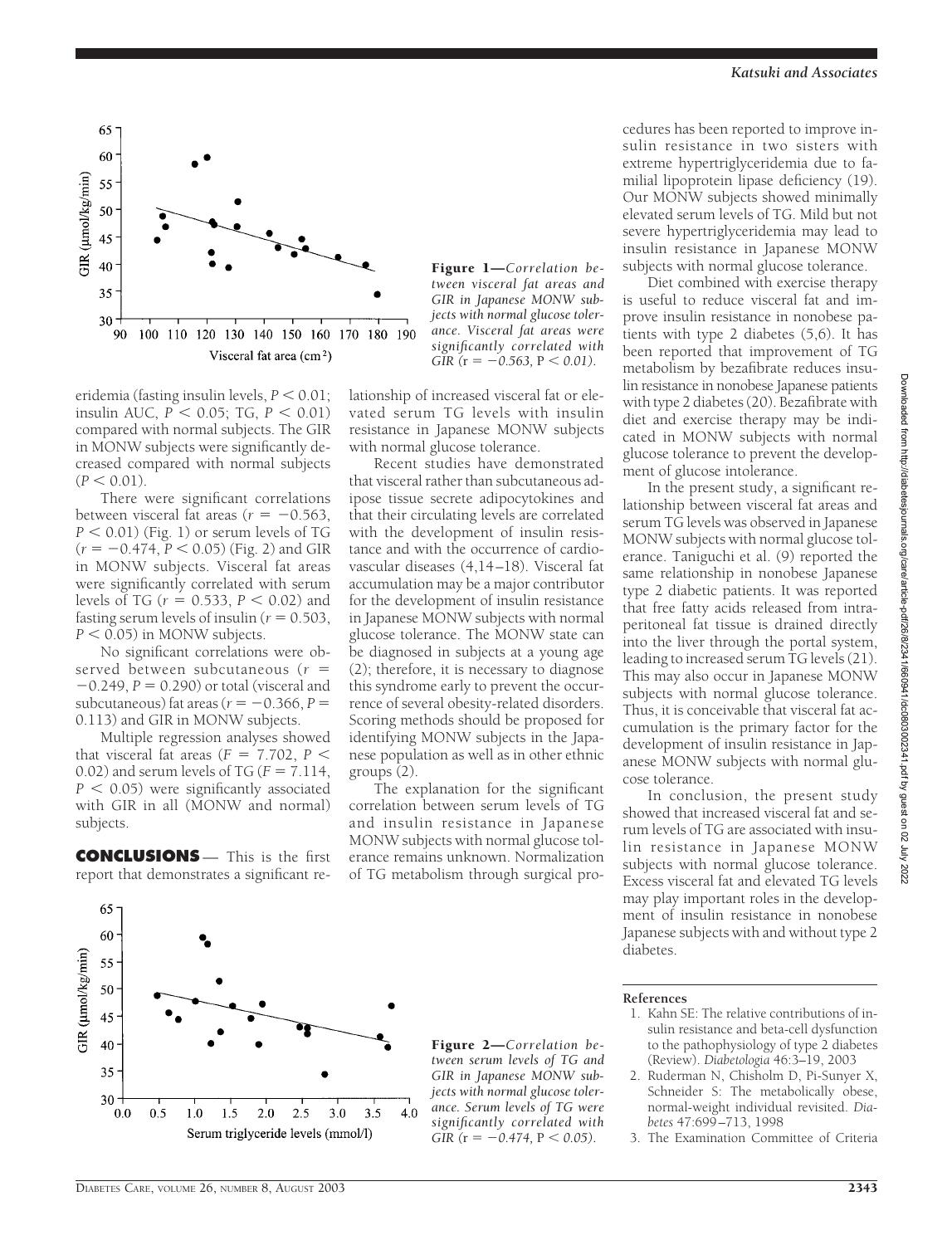

eridemia (fasting insulin levels,  $P < 0.01$ ; insulin AUC,  $P < 0.05$ ; TG,  $P < 0.01$ ) compared with normal subjects. The GIR in MONW subjects were significantly decreased compared with normal subjects  $(P < 0.01)$ .

There were significant correlations between visceral fat areas ( $r = -0.563$ ,  $P < 0.01$ ) (Fig. 1) or serum levels of TG  $(r = -0.474, P < 0.05)$  (Fig. 2) and GIR in MONW subjects. Visceral fat areas were significantly correlated with serum levels of TG ( $r = 0.533$ ,  $P < 0.02$ ) and fasting serum levels of insulin ( $r = 0.503$ ,  $P < 0.05$ ) in MONW subjects.

No significant correlations were observed between subcutaneous (*r* =  $-0.249$ ,  $P = 0.290$ ) or total (visceral and subcutaneous) fat areas ( $r = -0.366, P =$ 0.113) and GIR in MONW subjects.

Multiple regression analyses showed that visceral fat areas ( $F = 7.702$ ,  $P <$ 0.02) and serum levels of TG ( $F = 7.114$ ,  $P < 0.05$ ) were significantly associated with GIR in all (MONW and normal) subjects.

**CONCLUSIONS** - This is the first report that demonstrates a significant re-

Figure 1—*Correlation between visceral fat areas and GIR in Japanese MONW subjects with normal glucose tolerance. Visceral fat areas were significantly correlated with GIR* ( $r = -0.563$ ,  $P < 0.01$ ).

lationship of increased visceral fat or elevated serum TG levels with insulin resistance in Japanese MONW subjects with normal glucose tolerance.

Recent studies have demonstrated that visceral rather than subcutaneous adipose tissue secrete adipocytokines and that their circulating levels are correlated with the development of insulin resistance and with the occurrence of cardiovascular diseases (4,14–18). Visceral fat accumulation may be a major contributor for the development of insulin resistance in Japanese MONW subjects with normal glucose tolerance. The MONW state can be diagnosed in subjects at a young age (2); therefore, it is necessary to diagnose this syndrome early to prevent the occurrence of several obesity-related disorders. Scoring methods should be proposed for identifying MONW subjects in the Japanese population as well as in other ethnic groups (2).

The explanation for the significant correlation between serum levels of TG and insulin resistance in Japanese MONW subjects with normal glucose tolerance remains unknown. Normalization of TG metabolism through surgical procedures has been reported to improve insulin resistance in two sisters with extreme hypertriglyceridemia due to familial lipoprotein lipase deficiency (19). Our MONW subjects showed minimally elevated serum levels of TG. Mild but not severe hypertriglyceridemia may lead to insulin resistance in Japanese MONW subjects with normal glucose tolerance.

Diet combined with exercise therapy is useful to reduce visceral fat and improve insulin resistance in nonobese patients with type 2 diabetes (5,6). It has been reported that improvement of TG metabolism by bezafibrate reduces insulin resistance in nonobese Japanese patients with type 2 diabetes (20). Bezafibrate with diet and exercise therapy may be indicated in MONW subjects with normal glucose tolerance to prevent the development of glucose intolerance.

In the present study, a significant relationship between visceral fat areas and serum TG levels was observed in Japanese MONW subjects with normal glucose tolerance. Taniguchi et al. (9) reported the same relationship in nonobese Japanese type 2 diabetic patients. It was reported that free fatty acids released from intraperitoneal fat tissue is drained directly into the liver through the portal system, leading to increased serum TG levels (21). This may also occur in Japanese MONW subjects with normal glucose tolerance. Thus, it is conceivable that visceral fat accumulation is the primary factor for the development of insulin resistance in Japanese MONW subjects with normal glucose tolerance.

In conclusion, the present study showed that increased visceral fat and serum levels of TG are associated with insulin resistance in Japanese MONW subjects with normal glucose tolerance. Excess visceral fat and elevated TG levels may play important roles in the development of insulin resistance in nonobese Japanese subjects with and without type 2 diabetes.

#### **References**

- 1. Kahn SE: The relative contributions of insulin resistance and beta-cell dysfunction to the pathophysiology of type 2 diabetes (Review). *Diabetologia* 46:3–19, 2003
- 2. Ruderman N, Chisholm D, Pi-Sunyer X, Schneider S: The metabolically obese, normal-weight individual revisited. *Diabetes* 47:699–713, 1998

3. The Examination Committee of Criteria

*Katsuki and Associates*



Figure 2—*Correlation between serum levels of TG and GIR in Japanese MONW subjects with normal glucose tolerance. Serum levels of TG were significantly correlated with GIR* ( $r = -0.474$ ,  $P < 0.05$ ).